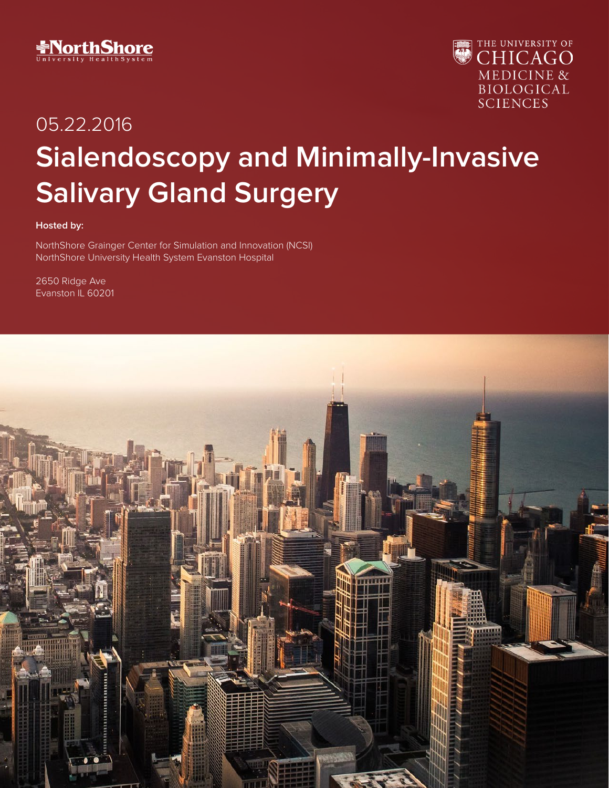



# 05.22.2016 **Sialendoscopy and Minimally-Invasive Salivary Gland Surgery**

#### **Hosted by:**

NorthShore Grainger Center for Simulation and Innovation (NCSI) NorthShore University Health System Evanston Hospital

2650 Ridge Ave Evanston IL 60201

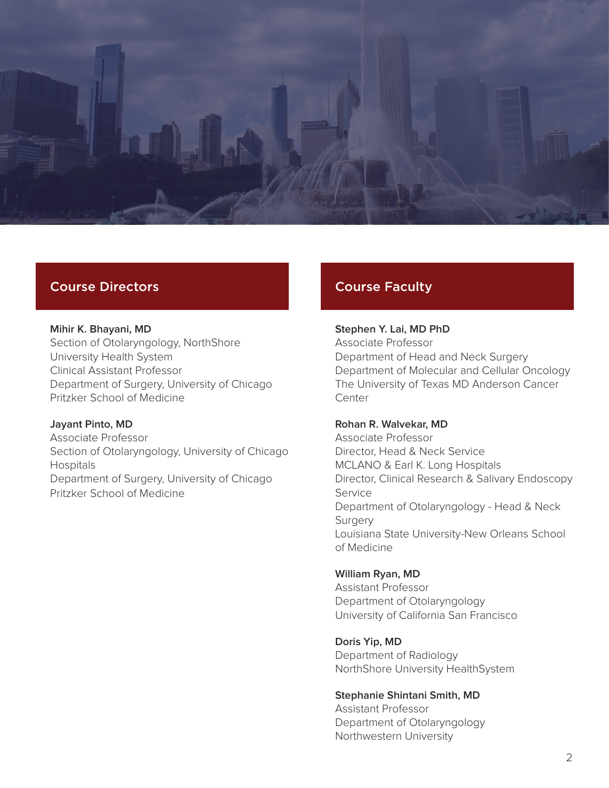

## Course Directors

#### **Mihir K. Bhayani, MD** Section of Otolaryngology, NorthShore University Health System

Clinical Assistant Professor Department of Surgery, University of Chicago Pritzker School of Medicine

#### **Jayant Pinto, MD** Associate Professor Section of Otolaryngology, University of Chicago Hospitals Department of Surgery, University of Chicago Pritzker School of Medicine

# Course Faculty

#### **Stephen Y. Lai, MD PhD** Associate Professor

Department of Head and Neck Surgery Department of Molecular and Cellular Oncology The University of Texas MD Anderson Cancer **Center** 

#### **Rohan R. Walvekar, MD**

Associate Professor Director, Head & Neck Service MCLANO & Earl K. Long Hospitals Director, Clinical Research & Salivary Endoscopy Service Department of Otolaryngology - Head & Neck **Surgery** Louisiana State University-New Orleans School of Medicine

#### **William Ryan, MD**

Assistant Professor Department of Otolaryngology University of California San Francisco

#### **Doris Yip, MD**

Department of Radiology NorthShore University HealthSystem

#### **Stephanie Shintani Smith, MD**

Assistant Professor Department of Otolaryngology Northwestern University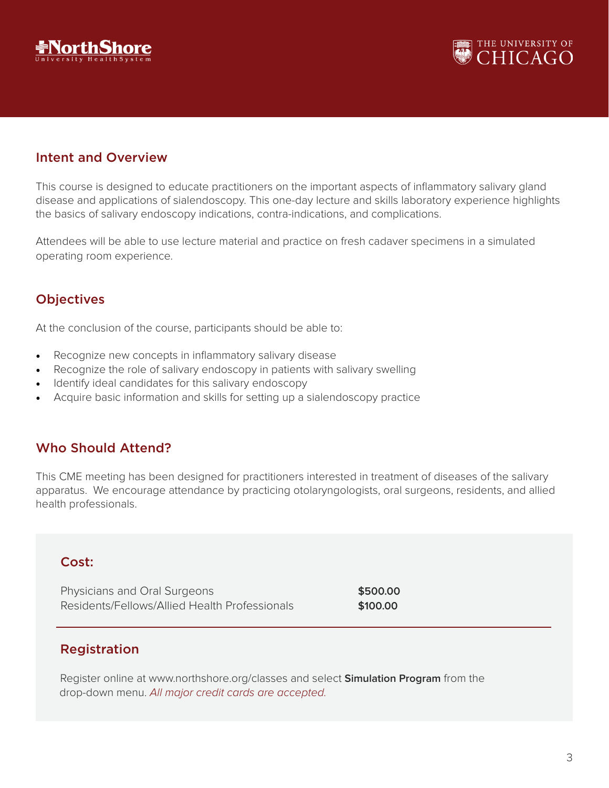



## Intent and Overview

This course is designed to educate practitioners on the important aspects of inflammatory salivary gland disease and applications of sialendoscopy. This one-day lecture and skills laboratory experience highlights the basics of salivary endoscopy indications, contra-indications, and complications.

Attendees will be able to use lecture material and practice on fresh cadaver specimens in a simulated operating room experience.

## **Objectives**

At the conclusion of the course, participants should be able to:

- Recognize new concepts in inflammatory salivary disease
- Recognize the role of salivary endoscopy in patients with salivary swelling
- Identify ideal candidates for this salivary endoscopy
- Acquire basic information and skills for setting up a sialendoscopy practice

#### Who Should Attend?

This CME meeting has been designed for practitioners interested in treatment of diseases of the salivary apparatus. We encourage attendance by practicing otolaryngologists, oral surgeons, residents, and allied health professionals.

#### Cost:

Physicians and Oral Surgeons **\$500.00 \$500.00** Residents/Fellows/Allied Health Professionals **\$100.00**

## Registration

 Register online at www.northshore.org/classes and select **Simulation Program** from the drop-down menu. All major credit cards are accepted.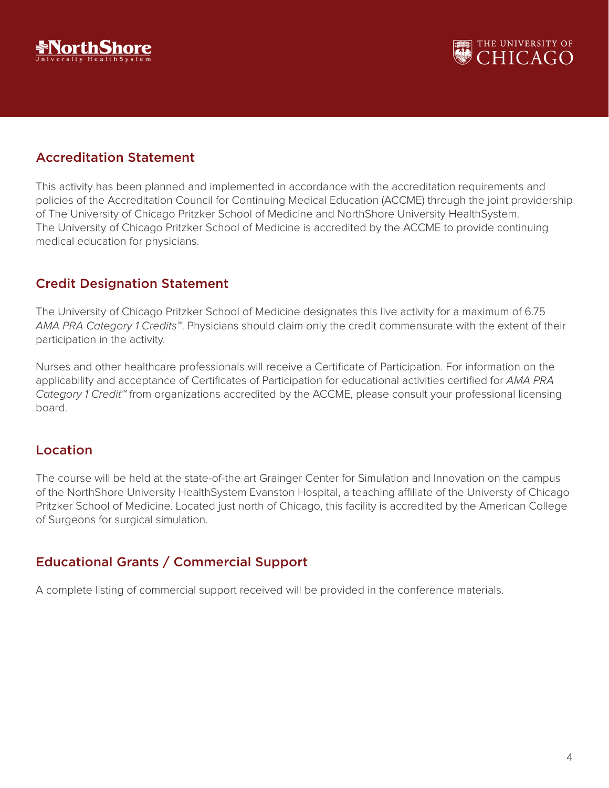



## Accreditation Statement

This activity has been planned and implemented in accordance with the accreditation requirements and policies of the Accreditation Council for Continuing Medical Education (ACCME) through the joint providership of The University of Chicago Pritzker School of Medicine and NorthShore University HealthSystem. The University of Chicago Pritzker School of Medicine is accredited by the ACCME to provide continuing medical education for physicians.

## Credit Designation Statement

The University of Chicago Pritzker School of Medicine designates this live activity for a maximum of 6.75 AMA PRA Category 1 Credits™. Physicians should claim only the credit commensurate with the extent of their participation in the activity.

Nurses and other healthcare professionals will receive a Certificate of Participation. For information on the applicability and acceptance of Certificates of Participation for educational activities certified for AMA PRA Category 1 Credit™ from organizations accredited by the ACCME, please consult your professional licensing board.

## Location

The course will be held at the state-of-the art Grainger Center for Simulation and Innovation on the campus of the NorthShore University HealthSystem Evanston Hospital, a teaching affiliate of the Universty of Chicago Pritzker School of Medicine. Located just north of Chicago, this facility is accredited by the American College of Surgeons for surgical simulation.

# Educational Grants / Commercial Support

A complete listing of commercial support received will be provided in the conference materials.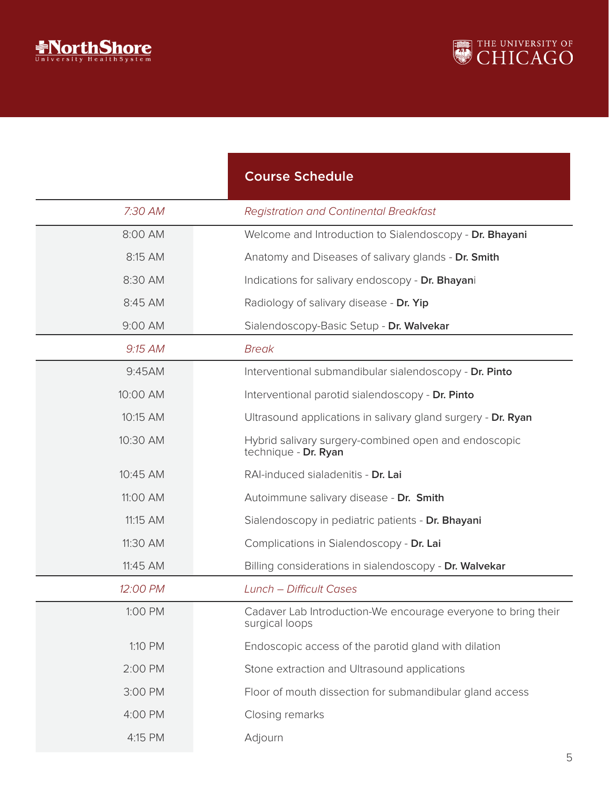



|          | <b>Course Schedule</b>                                                          |
|----------|---------------------------------------------------------------------------------|
| 7:30 AM  | <b>Registration and Continental Breakfast</b>                                   |
| 8:00 AM  | Welcome and Introduction to Sialendoscopy - Dr. Bhayani                         |
| 8:15 AM  | Anatomy and Diseases of salivary glands - Dr. Smith                             |
| 8:30 AM  | Indications for salivary endoscopy - Dr. Bhayani                                |
| 8:45 AM  | Radiology of salivary disease - Dr. Yip                                         |
| 9:00 AM  | Sialendoscopy-Basic Setup - Dr. Walvekar                                        |
| 9:15 AM  | <b>Break</b>                                                                    |
| 9:45AM   | Interventional submandibular sialendoscopy - Dr. Pinto                          |
| 10:00 AM | Interventional parotid sialendoscopy - Dr. Pinto                                |
| 10:15 AM | Ultrasound applications in salivary gland surgery - Dr. Ryan                    |
| 10:30 AM | Hybrid salivary surgery-combined open and endoscopic<br>technique - Dr. Ryan    |
| 10:45 AM | RAI-induced sialadenitis - Dr. Lai                                              |
| 11:00 AM | Autoimmune salivary disease - Dr. Smith                                         |
| 11:15 AM | Sialendoscopy in pediatric patients - Dr. Bhayani                               |
| 11:30 AM | Complications in Sialendoscopy - Dr. Lai                                        |
| 11:45 AM | Billing considerations in sialendoscopy - Dr. Walvekar                          |
| 12:00 PM | <b>Lunch - Difficult Cases</b>                                                  |
| 1:00 PM  | Cadaver Lab Introduction-We encourage everyone to bring their<br>surgical loops |
| 1:10 PM  | Endoscopic access of the parotid gland with dilation                            |
| 2:00 PM  | Stone extraction and Ultrasound applications                                    |
| 3:00 PM  | Floor of mouth dissection for submandibular gland access                        |
| 4:00 PM  | Closing remarks                                                                 |
| 4:15 PM  | Adjourn                                                                         |